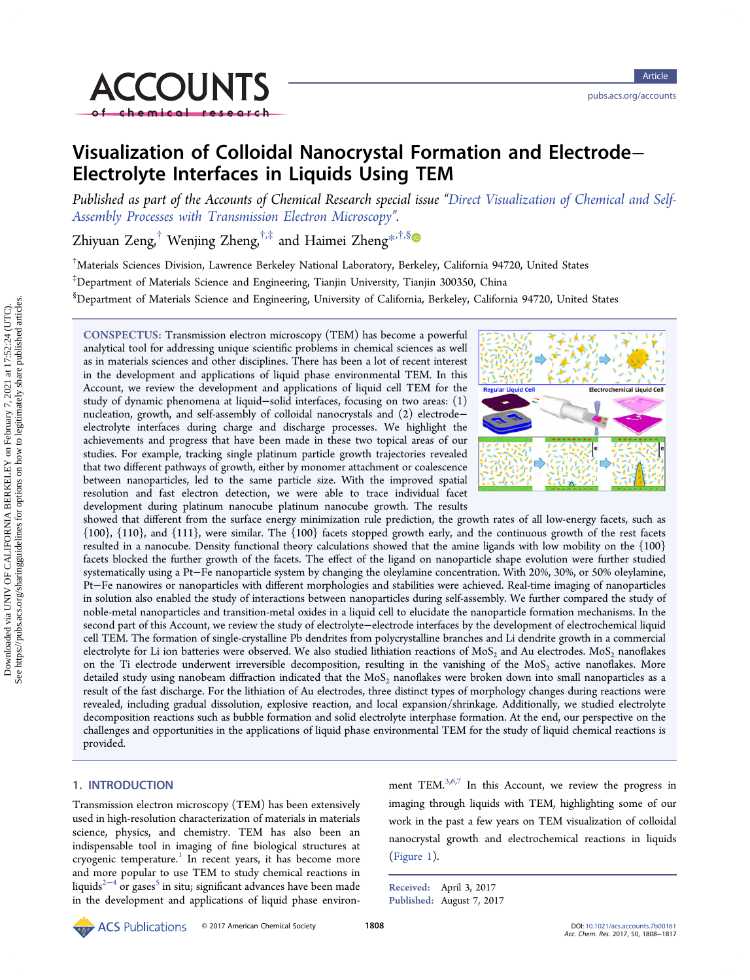

# Visualization of Colloidal Nanocrystal Formation and Electrode− Electrolyte Interfaces in Liquids Using TEM

Published as part of the Accounts of Chemical Research special issue "[Direct Visualization of Chemical and Self-](http://pubs.acs.org/page/achre4/transmissionelectronmicroscopy.html)[Assembly Processes with Transmission Electron Microscopy](http://pubs.acs.org/page/achre4/transmissionelectronmicroscopy.html)".

Zhiyuan Zeng,<sup>†</sup> Wenjing Zheng,<sup>†,‡</sup> and Haimei Zheng[\\*](#page-6-0)<sup>,†,[§](#page-6-0)</sup>

† Materials Sciences Division, Lawrence Berkeley National Laboratory, Berkeley, California 94720, United States ‡ Department of Materials Science and Engineering, Tianjin University, Tianjin 300350, China

 $^{\$}$ Department of Materials Science and Engineering, University of California, Berkeley, California 94720, United States

CONSPECTUS: Transmission electron microscopy (TEM) has become a powerful analytical tool for addressing unique scientific problems in chemical sciences as well as in materials sciences and other disciplines. There has been a lot of recent interest in the development and applications of liquid phase environmental TEM. In this Account, we review the development and applications of liquid cell TEM for the study of dynamic phenomena at liquid−solid interfaces, focusing on two areas: (1) nucleation, growth, and self-assembly of colloidal nanocrystals and (2) electrode− electrolyte interfaces during charge and discharge processes. We highlight the achievements and progress that have been made in these two topical areas of our studies. For example, tracking single platinum particle growth trajectories revealed that two different pathways of growth, either by monomer attachment or coalescence between nanoparticles, led to the same particle size. With the improved spatial resolution and fast electron detection, we were able to trace individual facet development during platinum nanocube platinum nanocube growth. The results



showed that different from the surface energy minimization rule prediction, the growth rates of all low-energy facets, such as {100}, {110}, and {111}, were similar. The {100} facets stopped growth early, and the continuous growth of the rest facets resulted in a nanocube. Density functional theory calculations showed that the amine ligands with low mobility on the {100} facets blocked the further growth of the facets. The effect of the ligand on nanoparticle shape evolution were further studied systematically using a Pt−Fe nanoparticle system by changing the oleylamine concentration. With 20%, 30%, or 50% oleylamine, Pt−Fe nanowires or nanoparticles with different morphologies and stabilities were achieved. Real-time imaging of nanoparticles in solution also enabled the study of interactions between nanoparticles during self-assembly. We further compared the study of noble-metal nanoparticles and transition-metal oxides in a liquid cell to elucidate the nanoparticle formation mechanisms. In the second part of this Account, we review the study of electrolyte−electrode interfaces by the development of electrochemical liquid cell TEM. The formation of single-crystalline Pb dendrites from polycrystalline branches and Li dendrite growth in a commercial electrolyte for Li ion batteries were observed. We also studied lithiation reactions of MoS<sub>2</sub> and Au electrodes. MoS<sub>2</sub> nanoflakes on the Ti electrode underwent irreversible decomposition, resulting in the vanishing of the  $M$ o $S<sub>2</sub>$  active nanoflakes. More detailed study using nanobeam diffraction indicated that the  $MoS<sub>2</sub>$  nanoflakes were broken down into small nanoparticles as a result of the fast discharge. For the lithiation of Au electrodes, three distinct types of morphology changes during reactions were revealed, including gradual dissolution, explosive reaction, and local expansion/shrinkage. Additionally, we studied electrolyte decomposition reactions such as bubble formation and solid electrolyte interphase formation. At the end, our perspective on the challenges and opportunities in the applications of liquid phase environmental TEM for the study of liquid chemical reactions is provided.

## 1. INTRODUCTION

Transmission electron microscopy (TEM) has been extensively used in high-resolution characterization of materials in materials science, physics, and chemistry. TEM has also been an indispensable tool in imaging of fine biological structures at cryogenic temperature.<sup>[1](#page-7-0)</sup> In recent years, it has become more and more popular to use TEM to study chemical reactions in liquids<sup>[2](#page-7-0)−[4](#page-7-0)</sup> or gases<sup>[5](#page-7-0)</sup> in situ; significant advances have been made in the development and applications of liquid phase environment TEM.[3,6,7](#page-7-0) In this Account, we review the progress in imaging through liquids with TEM, highlighting some of our work in the past a few years on TEM visualization of colloidal nanocrystal growth and electrochemical reactions in liquids [\(Figure 1\)](#page-1-0).

Received: April 3, 2017 Published: August 7, 2017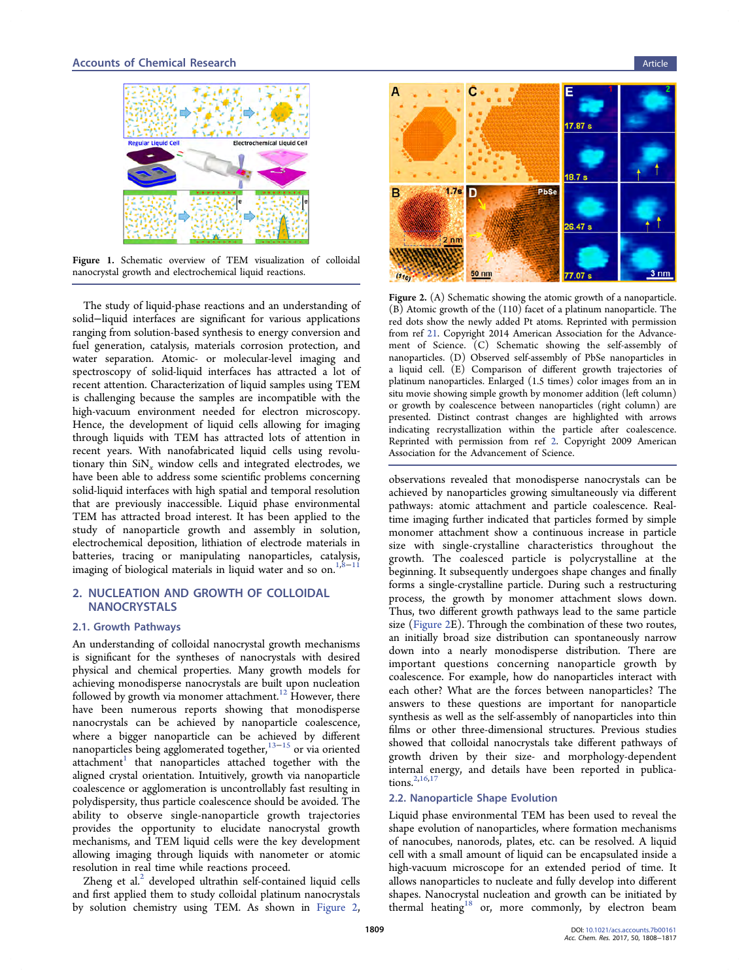<span id="page-1-0"></span>

Figure 1. Schematic overview of TEM visualization of colloidal nanocrystal growth and electrochemical liquid reactions.

The study of liquid-phase reactions and an understanding of solid−liquid interfaces are significant for various applications ranging from solution-based synthesis to energy conversion and fuel generation, catalysis, materials corrosion protection, and water separation. Atomic- or molecular-level imaging and spectroscopy of solid-liquid interfaces has attracted a lot of recent attention. Characterization of liquid samples using TEM is challenging because the samples are incompatible with the high-vacuum environment needed for electron microscopy. Hence, the development of liquid cells allowing for imaging through liquids with TEM has attracted lots of attention in recent years. With nanofabricated liquid cells using revolutionary thin  $\sin x$ , window cells and integrated electrodes, we have been able to address some scientific problems concerning solid-liquid interfaces with high spatial and temporal resolution that are previously inaccessible. Liquid phase environmental TEM has attracted broad interest. It has been applied to the study of nanoparticle growth and assembly in solution, electrochemical deposition, lithiation of electrode materials in batteries, tracing or manipulating nanoparticles, catalysis, imaging of biological materials in liquid water and so on.<sup>[1](#page-7-0),[8](#page-7-0)</sup>

## 2. NUCLEATION AND GROWTH OF COLLOIDAL **NANOCRYSTALS**

#### 2.1. Growth Pathways

An understanding of colloidal nanocrystal growth mechanisms is significant for the syntheses of nanocrystals with desired physical and chemical properties. Many growth models for achieving monodisperse nanocrystals are built upon nucleation followed by growth via monomer attachment.<sup>[12](#page-7-0)</sup> However, there have been numerous reports showing that monodisperse nanocrystals can be achieved by nanoparticle coalescence, where a bigger nanoparticle can be achieved by different nanoparticles being agglomerated together, $13-15$  $13-15$  $13-15$  or via oriented attachment<sup>[1](#page-7-0)</sup> that nanoparticles attached together with the aligned crystal orientation. Intuitively, growth via nanoparticle coalescence or agglomeration is uncontrollably fast resulting in polydispersity, thus particle coalescence should be avoided. The ability to observe single-nanoparticle growth trajectories provides the opportunity to elucidate nanocrystal growth mechanisms, and TEM liquid cells were the key development allowing imaging through liquids with nanometer or atomic resolution in real time while reactions proceed.

Zheng et al. $<sup>2</sup>$  $<sup>2</sup>$  $<sup>2</sup>$  developed ultrathin self-contained liquid cells</sup> and first applied them to study colloidal platinum nanocrystals by solution chemistry using TEM. As shown in Figure 2,



Figure 2. (A) Schematic showing the atomic growth of a nanoparticle. (B) Atomic growth of the (110) facet of a platinum nanoparticle. The red dots show the newly added Pt atoms. Reprinted with permission from ref [21.](#page-7-0) Copyright 2014 American Association for the Advancement of Science. (C) Schematic showing the self-assembly of nanoparticles. (D) Observed self-assembly of PbSe nanoparticles in a liquid cell. (E) Comparison of different growth trajectories of platinum nanoparticles. Enlarged (1.5 times) color images from an in situ movie showing simple growth by monomer addition (left column) or growth by coalescence between nanoparticles (right column) are presented. Distinct contrast changes are highlighted with arrows indicating recrystallization within the particle after coalescence. Reprinted with permission from ref [2](#page-7-0). Copyright 2009 American Association for the Advancement of Science.

observations revealed that monodisperse nanocrystals can be achieved by nanoparticles growing simultaneously via different pathways: atomic attachment and particle coalescence. Realtime imaging further indicated that particles formed by simple monomer attachment show a continuous increase in particle size with single-crystalline characteristics throughout the growth. The coalesced particle is polycrystalline at the beginning. It subsequently undergoes shape changes and finally forms a single-crystalline particle. During such a restructuring process, the growth by monomer attachment slows down. Thus, two different growth pathways lead to the same particle size (Figure 2E). Through the combination of these two routes, an initially broad size distribution can spontaneously narrow down into a nearly monodisperse distribution. There are important questions concerning nanoparticle growth by coalescence. For example, how do nanoparticles interact with each other? What are the forces between nanoparticles? The answers to these questions are important for nanoparticle synthesis as well as the self-assembly of nanoparticles into thin films or other three-dimensional structures. Previous studies showed that colloidal nanocrystals take different pathways of growth driven by their size- and morphology-dependent internal energy, and details have been reported in publications.[2](#page-7-0),[16](#page-7-0),[17](#page-7-0)

#### 2.2. Nanoparticle Shape Evolution

Liquid phase environmental TEM has been used to reveal the shape evolution of nanoparticles, where formation mechanisms of nanocubes, nanorods, plates, etc. can be resolved. A liquid cell with a small amount of liquid can be encapsulated inside a high-vacuum microscope for an extended period of time. It allows nanoparticles to nucleate and fully develop into different shapes. Nanocrystal nucleation and growth can be initiated by thermal heating<sup>[18](#page-7-0)</sup> or, more commonly, by electron beam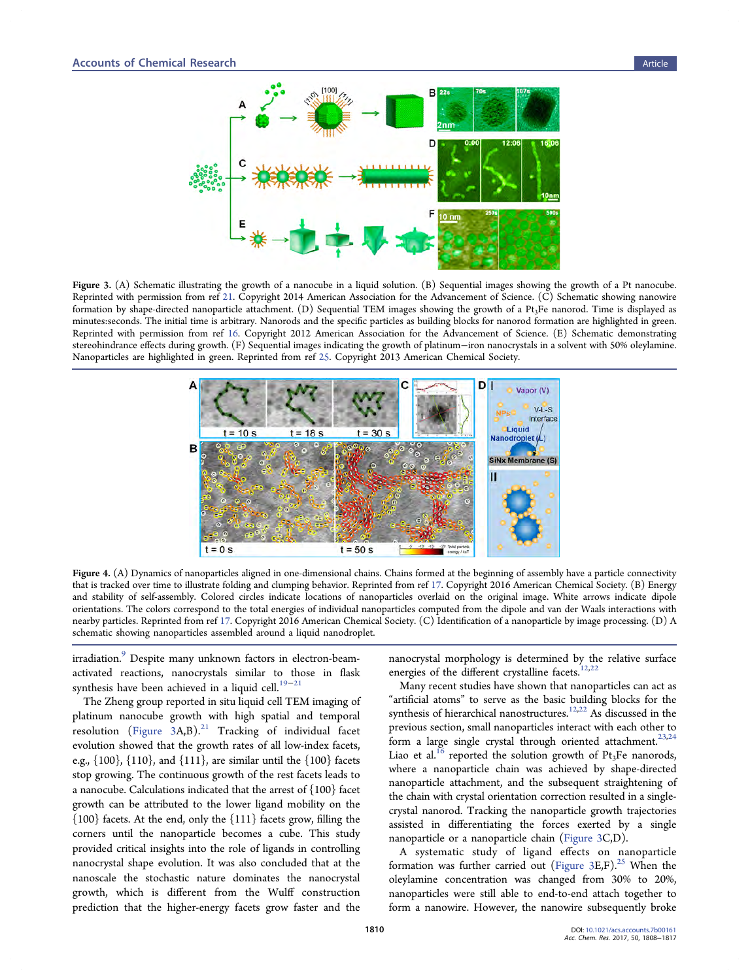<span id="page-2-0"></span>

Figure 3. (A) Schematic illustrating the growth of a nanocube in a liquid solution. (B) Sequential images showing the growth of a Pt nanocube. Reprinted with permission from ref [21](#page-7-0). Copyright 2014 American Association for the Advancement of Science. (C) Schematic showing nanowire formation by shape-directed nanoparticle attachment. (D) Sequential TEM images showing the growth of a Pt<sub>3</sub>Fe nanorod. Time is displayed as minutes:seconds. The initial time is arbitrary. Nanorods and the specific particles as building blocks for nanorod formation are highlighted in green. Reprinted with permission from ref [16.](#page-7-0) Copyright 2012 American Association for the Advancement of Science. (E) Schematic demonstrating stereohindrance effects during growth. (F) Sequential images indicating the growth of platinum−iron nanocrystals in a solvent with 50% oleylamine. Nanoparticles are highlighted in green. Reprinted from ref [25.](#page-7-0) Copyright 2013 American Chemical Society.



Figure 4. (A) Dynamics of nanoparticles aligned in one-dimensional chains. Chains formed at the beginning of assembly have a particle connectivity that is tracked over time to illustrate folding and clumping behavior. Reprinted from ref [17](#page-7-0). Copyright 2016 American Chemical Society. (B) Energy and stability of self-assembly. Colored circles indicate locations of nanoparticles overlaid on the original image. White arrows indicate dipole orientations. The colors correspond to the total energies of individual nanoparticles computed from the dipole and van der Waals interactions with nearby particles. Reprinted from ref [17.](#page-7-0) Copyright 2016 American Chemical Society. (C) Identification of a nanoparticle by image processing. (D) A schematic showing nanoparticles assembled around a liquid nanodroplet.

irradiation.<sup>[9](#page-7-0)</sup> Despite many unknown factors in electron-beamactivated reactions, nanocrystals similar to those in flask synthesis have been achieved in a liquid cell.<sup>[19](#page-7-0)−[21](#page-7-0)</sup>

The Zheng group reported in situ liquid cell TEM imaging of platinum nanocube growth with high spatial and temporal resolution (Figure  $3A,B$ ).<sup>[21](#page-7-0)</sup> Tracking of individual facet evolution showed that the growth rates of all low-index facets, e.g.,  $\{100\}$ ,  $\{110\}$ , and  $\{111\}$ , are similar until the  $\{100\}$  facets stop growing. The continuous growth of the rest facets leads to a nanocube. Calculations indicated that the arrest of {100} facet growth can be attributed to the lower ligand mobility on the {100} facets. At the end, only the {111} facets grow, filling the corners until the nanoparticle becomes a cube. This study provided critical insights into the role of ligands in controlling nanocrystal shape evolution. It was also concluded that at the nanoscale the stochastic nature dominates the nanocrystal growth, which is different from the Wulff construction prediction that the higher-energy facets grow faster and the

nanocrystal morphology is determined by the relative surface energies of the different crystalline facets.<sup>[12,22](#page-7-0)</sup>

Many recent studies have shown that nanoparticles can act as "artificial atoms" to serve as the basic building blocks for the synthesis of hierarchical nanostructures.<sup>[12](#page-7-0),[22](#page-7-0)</sup> As discussed in the previous section, small nanoparticles interact with each other to form a large single crystal through oriented attachment.<sup>[23,24](#page-7-0)</sup> Liao et al.<sup>[16](#page-7-0)</sup> reported the solution growth of  $Pt_3Fe$  nanorods, where a nanoparticle chain was achieved by shape-directed nanoparticle attachment, and the subsequent straightening of the chain with crystal orientation correction resulted in a singlecrystal nanorod. Tracking the nanoparticle growth trajectories assisted in differentiating the forces exerted by a single nanoparticle or a nanoparticle chain (Figure 3C,D).

A systematic study of ligand effects on nanoparticle formation was further carried out (Figure 3E,F).<sup>[25](#page-7-0)</sup> When the oleylamine concentration was changed from 30% to 20%, nanoparticles were still able to end-to-end attach together to form a nanowire. However, the nanowire subsequently broke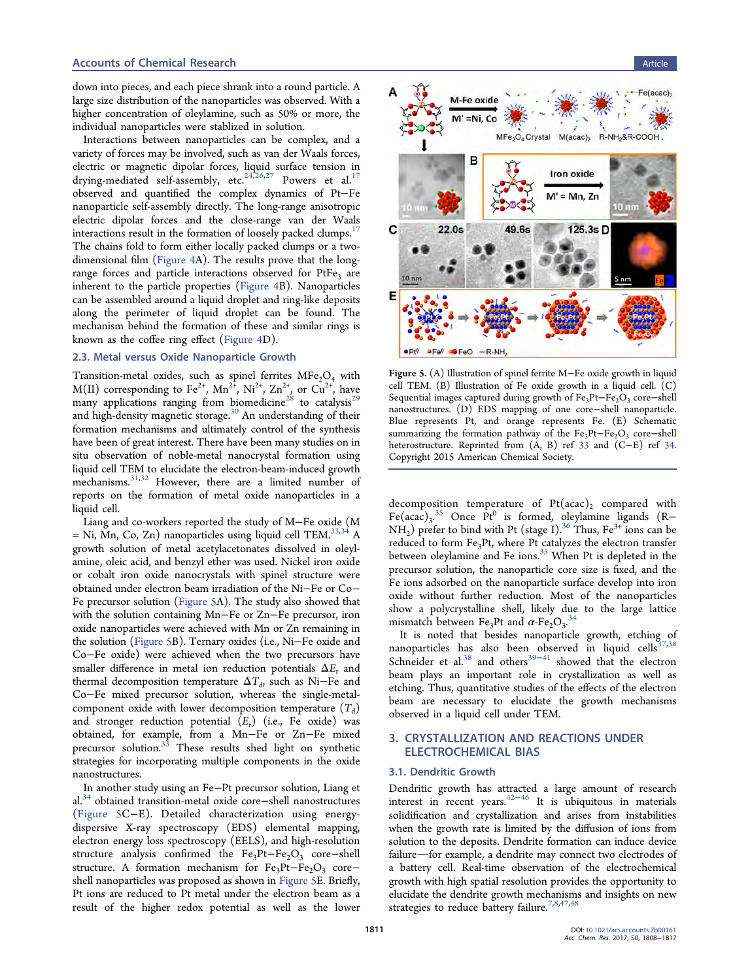down into pieces, and each piece shrank into a round particle. A large size distribution of the nanoparticles was observed. With a higher concentration of oleylamine, such as 50% or more, the individual nanoparticles were stablized in solution.

Interactions between nanoparticles can be complex, and a variety of forces may be involved, such as van der Waals forces, electric or magnetic dipolar forces, liquid surface tension in drying-mediated self-assembly, etc. $24,26,27$  $24,26,27$  $24,26,27$  Powers et al.<sup>[17](#page-7-0)</sup> observed and quantified the complex dynamics of Pt−Fe nanoparticle self-assembly directly. The long-range anisotropic electric dipolar forces and the close-range van der Waals interactions result in the formation of loosely packed clumps. $17$ The chains fold to form either locally packed clumps or a twodimensional film ([Figure 4A](#page-2-0)). The results prove that the longrange forces and particle interactions observed for PtFe<sub>3</sub> are inherent to the particle properties [\(Figure 4B](#page-2-0)). Nanoparticles can be assembled around a liquid droplet and ring-like deposits along the perimeter of liquid droplet can be found. The mechanism behind the formation of these and similar rings is known as the coffee ring effect ([Figure 4](#page-2-0)D).

### 2.3. Metal versus Oxide Nanoparticle Growth

Transition-metal oxides, such as spinel ferrites  $\text{MFe}_2\text{O}_4$  with  $M(II)$  corresponding to Fe<sup>2+</sup>,  $Mn^{2+}$ ,  $Ni^{2+}$ ,  $Zn^{2+}$ , or  $Cu^{2+}$ , have many applications ranging from biomedicine<sup>[28](#page-7-0)</sup> to catalysis<sup>[29](#page-7-0)</sup> and high-density magnetic storage.<sup>[30](#page-7-0)</sup> An understanding of their formation mechanisms and ultimately control of the synthesis have been of great interest. There have been many studies on in situ observation of noble-metal nanocrystal formation using liquid cell TEM to elucidate the electron-beam-induced growth mechanisms.<sup>[31,32](#page-7-0)</sup> However, there are a limited number of reports on the formation of metal oxide nanoparticles in a liquid cell.

Liang and co-workers reported the study of M−Fe oxide (M  $=$  Ni, Mn, Co, Zn) nanoparticles using liquid cell TEM.<sup>33,4</sup> growth solution of metal acetylacetonates dissolved in oleylamine, oleic acid, and benzyl ether was used. Nickel iron oxide or cobalt iron oxide nanocrystals with spinel structure were obtained under electron beam irradiation of the Ni−Fe or Co− Fe precursor solution (Figure 5A). The study also showed that with the solution containing Mn−Fe or Zn−Fe precursor, iron oxide nanoparticles were achieved with Mn or Zn remaining in the solution (Figure 5B). Ternary oxides (i.e., Ni−Fe oxide and Co−Fe oxide) were achieved when the two precursors have smaller difference in metal ion reduction potentials  $\Delta E_r$  and thermal decomposition temperature  $\Delta T_d$ , such as Ni–Fe and Co−Fe mixed precursor solution, whereas the single-metalcomponent oxide with lower decomposition temperature  $(T_d)$ and stronger reduction potential  $(E_r)$  (i.e., Fe oxide) was obtained, for example, from a Mn−Fe or Zn−Fe mixed precursor solution.<sup>[33](#page-7-0)</sup> These results shed light on synthetic strategies for incorporating multiple components in the oxide nanostructures.

In another study using an Fe−Pt precursor solution, Liang et al.[34](#page-7-0) obtained transition-metal oxide core−shell nanostructures (Figure 5C−E). Detailed characterization using energydispersive X-ray spectroscopy (EDS) elemental mapping, electron energy loss spectroscopy (EELS), and high-resolution structure analysis confirmed the  $Fe<sub>3</sub>Pt-Fe<sub>2</sub>O<sub>3</sub>$  core−shell structure. A formation mechanism for  $Fe<sub>3</sub>Pt-Fe<sub>2</sub>O<sub>3</sub>$  core− shell nanoparticles was proposed as shown in Figure 5E. Briefly, Pt ions are reduced to Pt metal under the electron beam as a result of the higher redox potential as well as the lower



Figure 5. (A) Illustration of spinel ferrite M−Fe oxide growth in liquid cell TEM. (B) Illustration of Fe oxide growth in a liquid cell. (C) Sequential images captured during growth of Fe<sub>3</sub>Pt-Fe<sub>2</sub>O<sub>3</sub> core-shell nanostructures. (D) EDS mapping of one core−shell nanoparticle. Blue represents Pt, and orange represents Fe. (E) Schematic summarizing the formation pathway of the Fe<sub>3</sub>Pt–Fe<sub>2</sub>O<sub>3</sub> core–shell heterostructure. Reprinted from (A, B) ref [33](#page-7-0) and (C−E) ref [34.](#page-7-0) Copyright 2015 American Chemical Society.

decomposition temperature of  $Pt( \text{acac})_2$  compared with Fe(acac)<sub>3</sub>.<sup>[35](#page-7-0)</sup> Once Pt<sup>0</sup> is formed, oleylamine ligands (R–  $NH<sub>2</sub>$ ) prefer to bind with Pt (stage I).<sup>[36](#page-8-0)</sup> Thus, Fe<sup>3+</sup> ions can be reduced to form Fe<sub>3</sub>Pt, where Pt catalyzes the electron transfer between oleylamine and Fe ions.<sup>[35](#page-7-0)</sup> When Pt is depleted in the precursor solution, the nanoparticle core size is fixed, and the Fe ions adsorbed on the nanoparticle surface develop into iron oxide without further reduction. Most of the nanoparticles show a polycrystalline shell, likely due to the large lattice mismatch between Fe<sub>3</sub>Pt and  $\alpha$ -Fe<sub>2</sub>O<sub>3</sub>.<sup>[34](#page-7-0)</sup>

It is noted that besides nanoparticle growth, etching of nanoparticles has also been observed in liquid cells<sup>[37,38](#page-8-0)</sup> Schneider et al.<sup>[38](#page-8-0)</sup> and others<sup>[39](#page-8-0)-[41](#page-8-0)</sup> showed that the electron beam plays an important role in crystallization as well as etching. Thus, quantitative studies of the effects of the electron beam are necessary to elucidate the growth mechanisms observed in a liquid cell under TEM.

### 3. CRYSTALLIZATION AND REACTIONS UNDER ELECTROCHEMICAL BIAS

### 3.1. Dendritic Growth

Dendritic growth has attracted a large amount of research interest in recent years. $42-46$  $42-46$  $42-46$  It is ubiquitous in materials solidification and crystallization and arises from instabilities when the growth rate is limited by the diffusion of ions from solution to the deposits. Dendrite formation can induce device failure-for example, a dendrite may connect two electrodes of a battery cell. Real-time observation of the electrochemical growth with high spatial resolution provides the opportunity to elucidate the dendrite growth mechanisms and insights on new strategies to reduce battery failure.<sup>[7,8](#page-7-0)[,47](#page-8-0),[48](#page-8-0)</sup>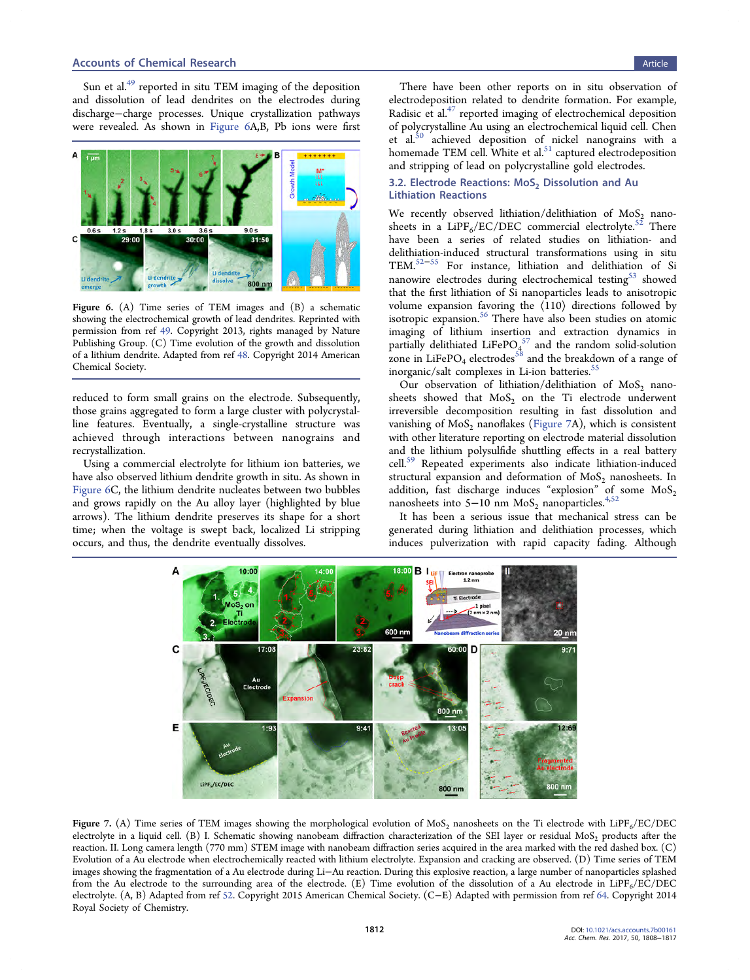<span id="page-4-0"></span>Sun et al.<sup>[49](#page-8-0)</sup> reported in situ TEM imaging of the deposition and dissolution of lead dendrites on the electrodes during discharge−charge processes. Unique crystallization pathways were revealed. As shown in Figure 6A,B, Pb ions were first



Figure 6. (A) Time series of TEM images and (B) a schematic showing the electrochemical growth of lead dendrites. Reprinted with permission from ref [49](#page-8-0). Copyright 2013, rights managed by Nature Publishing Group. (C) Time evolution of the growth and dissolution of a lithium dendrite. Adapted from ref [48.](#page-8-0) Copyright 2014 American Chemical Society.

reduced to form small grains on the electrode. Subsequently, those grains aggregated to form a large cluster with polycrystalline features. Eventually, a single-crystalline structure was achieved through interactions between nanograins and recrystallization.

Using a commercial electrolyte for lithium ion batteries, we have also observed lithium dendrite growth in situ. As shown in Figure 6C, the lithium dendrite nucleates between two bubbles and grows rapidly on the Au alloy layer (highlighted by blue arrows). The lithium dendrite preserves its shape for a short time; when the voltage is swept back, localized Li stripping occurs, and thus, the dendrite eventually dissolves.

There have been other reports on in situ observation of electrodeposition related to dendrite formation. For example, Radisic et al. $47$  reported imaging of electrochemical deposition of polycrystalline Au using an electrochemical liquid cell. Chen et al.<sup>[50](#page-8-0)</sup> achieved deposition of nickel nanograins with a homemade TEM cell. White et al. $51$  captured electrodeposition and stripping of lead on polycrystalline gold electrodes.

## 3.2. Electrode Reactions: MoS<sub>2</sub> Dissolution and Au Lithiation Reactions

We recently observed lithiation/delithiation of  $MoS<sub>2</sub>$  nano-sheets in a LiPF<sub>6</sub>/EC/DEC commercial electrolyte.<sup>[52](#page-8-0)</sup> There have been a series of related studies on lithiation- and delithiation-induced structural transformations using in situ TEM.[52](#page-8-0)−[55](#page-8-0) For instance, lithiation and delithiation of Si nanowire electrodes during electrochemical testing<sup>53</sup> showed that the first lithiation of Si nanoparticles leads to anisotropic volume expansion favoring the ⟨110⟩ directions followed by isotropic expansion.<sup>[56](#page-8-0)</sup> There have also been studies on atomic imaging of lithium insertion and extraction dynamics in partially delithiated LiFePO $^{57}_{4}$  $^{57}_{4}$  $^{57}_{4}$  and the random solid-solution zone in LiFePO<sub>4</sub> electrodes<sup>[58](#page-8-0)</sup> and the breakdown of a range of inorganic/salt complexes in Li-ion batteries.<sup>[55](#page-8-0)</sup>

Our observation of lithiation/delithiation of  $MoS<sub>2</sub>$  nanosheets showed that  $MoS<sub>2</sub>$  on the Ti electrode underwent irreversible decomposition resulting in fast dissolution and vanishing of  $MoS<sub>2</sub>$  nanoflakes (Figure 7A), which is consistent with other literature reporting on electrode material dissolution and the lithium polysulfide shuttling effects in a real battery cell.<sup>[59](#page-8-0)</sup> Repeated experiments also indicate lithiation-induced structural expansion and deformation of MoS<sub>2</sub> nanosheets. In addition, fast discharge induces "explosion" of some  $MoS<sub>2</sub>$ nanosheets into 5−10 nm  $MoS<sub>2</sub>$  nanoparticles.<sup>[4](#page-7-0),[52](#page-8-0)</sup>

It has been a serious issue that mechanical stress can be generated during lithiation and delithiation processes, which induces pulverization with rapid capacity fading. Although



Figure 7. (A) Time series of TEM images showing the morphological evolution of MoS<sub>2</sub> nanosheets on the Ti electrode with LiPF<sub>6</sub>/EC/DEC electrolyte in a liquid cell. (B) I. Schematic showing nanobeam diffraction characterization of the SEI layer or residual MoS<sub>2</sub> products after the reaction. II. Long camera length (770 mm) STEM image with nanobeam diffraction series acquired in the area marked with the red dashed box. (C) Evolution of a Au electrode when electrochemically reacted with lithium electrolyte. Expansion and cracking are observed. (D) Time series of TEM images showing the fragmentation of a Au electrode during Li−Au reaction. During this explosive reaction, a large number of nanoparticles splashed from the Au electrode to the surrounding area of the electrode. (E) Time evolution of the dissolution of a Au electrode in LiPF<sub>6</sub>/EC/DEC electrolyte. (A, B) Adapted from ref [52](#page-8-0). Copyright 2015 American Chemical Society. (C−E) Adapted with permission from ref [64](#page-8-0). Copyright 2014 Royal Society of Chemistry.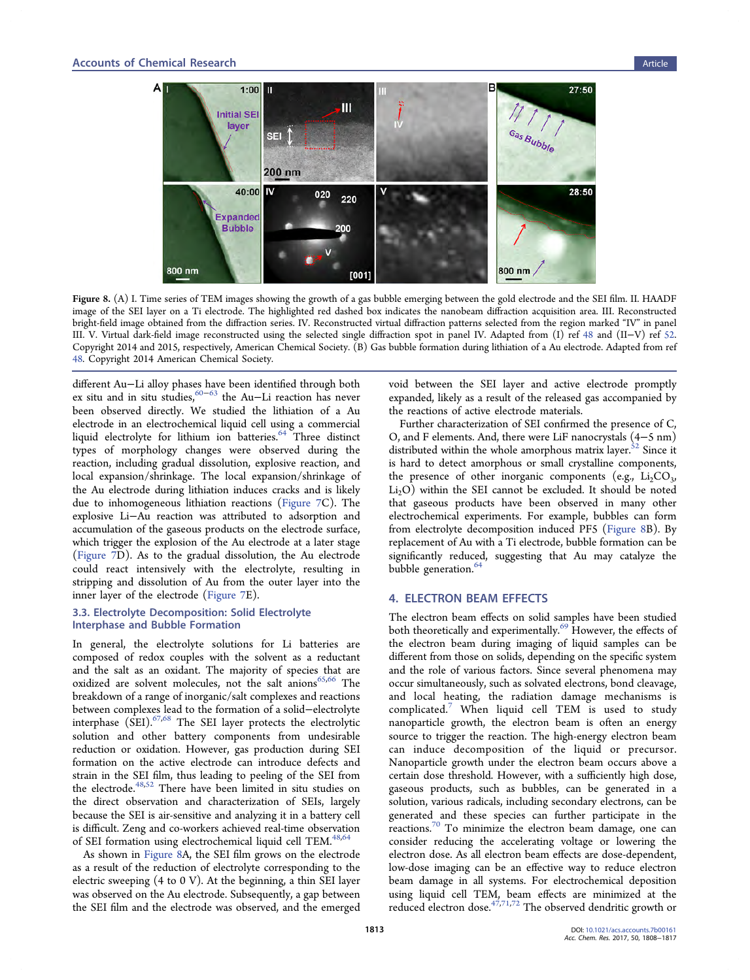

Figure 8. (A) I. Time series of TEM images showing the growth of a gas bubble emerging between the gold electrode and the SEI film. II. HAADF image of the SEI layer on a Ti electrode. The highlighted red dashed box indicates the nanobeam diffraction acquisition area. III. Reconstructed bright-field image obtained from the diffraction series. IV. Reconstructed virtual diffraction patterns selected from the region marked "IV" in panel III. V. Virtual dark-field image reconstructed using the selected single diffraction spot in panel IV. Adapted from (I) ref [48](#page-8-0) and (II−V) ref [52.](#page-8-0) Copyright 2014 and 2015, respectively, American Chemical Society. (B) Gas bubble formation during lithiation of a Au electrode. Adapted from ref [48.](#page-8-0) Copyright 2014 American Chemical Society.

different Au−Li alloy phases have been identified through both ex situ and in situ studies,<sup>[60](#page-8-0)–[63](#page-8-0)</sup> the Au–Li reaction has never been observed directly. We studied the lithiation of a Au electrode in an electrochemical liquid cell using a commercial liquid electrolyte for lithium ion batteries.<sup>[64](#page-8-0)</sup> Three distinct types of morphology changes were observed during the reaction, including gradual dissolution, explosive reaction, and local expansion/shrinkage. The local expansion/shrinkage of the Au electrode during lithiation induces cracks and is likely due to inhomogeneous lithiation reactions [\(Figure 7](#page-4-0)C). The explosive Li−Au reaction was attributed to adsorption and accumulation of the gaseous products on the electrode surface, which trigger the explosion of the Au electrode at a later stage [\(Figure 7](#page-4-0)D). As to the gradual dissolution, the Au electrode could react intensively with the electrolyte, resulting in stripping and dissolution of Au from the outer layer into the inner layer of the electrode ([Figure 7](#page-4-0)E).

## 3.3. Electrolyte Decomposition: Solid Electrolyte Interphase and Bubble Formation

In general, the electrolyte solutions for Li batteries are composed of redox couples with the solvent as a reductant and the salt as an oxidant. The majority of species that are oxidized are solvent molecules, not the salt anions<sup>[65,66](#page-8-0)</sup> The breakdown of a range of inorganic/salt complexes and reactions between complexes lead to the formation of a solid−electrolyte interphase  $(SEI)$ .<sup>[67](#page-8-0),[68](#page-8-0)</sup> The SEI layer protects the electrolytic solution and other battery components from undesirable reduction or oxidation. However, gas production during SEI formation on the active electrode can introduce defects and strain in the SEI film, thus leading to peeling of the SEI from the electrode.<sup>[48,52](#page-8-0)</sup> There have been limited in situ studies on the direct observation and characterization of SEIs, largely because the SEI is air-sensitive and analyzing it in a battery cell is difficult. Zeng and co-workers achieved real-time observation of SEI formation using electrochemical liquid cell TEM.<sup>[48](#page-8-0),[64](#page-8-0)</sup>

As shown in Figure 8A, the SEI film grows on the electrode as a result of the reduction of electrolyte corresponding to the electric sweeping (4 to 0 V). At the beginning, a thin SEI layer was observed on the Au electrode. Subsequently, a gap between the SEI film and the electrode was observed, and the emerged

void between the SEI layer and active electrode promptly expanded, likely as a result of the released gas accompanied by the reactions of active electrode materials.

Further characterization of SEI confirmed the presence of C, O, and F elements. And, there were LiF nanocrystals (4−5 nm) distributed within the whole amorphous matrix layer. $52$  Since it is hard to detect amorphous or small crystalline components, the presence of other inorganic components (e.g.,  $Li<sub>2</sub>CO<sub>3</sub>$ ,  $Li<sub>2</sub>O$ ) within the SEI cannot be excluded. It should be noted that gaseous products have been observed in many other electrochemical experiments. For example, bubbles can form from electrolyte decomposition induced PF5 (Figure 8B). By replacement of Au with a Ti electrode, bubble formation can be significantly reduced, suggesting that Au may catalyze the bubble generation.<sup>[64](#page-8-0)</sup>

# 4. ELECTRON BEAM EFFECTS

The electron beam effects on solid samples have been studied both theoretically and experimentally.<sup>[69](#page-8-0)</sup> However, the effects of the electron beam during imaging of liquid samples can be different from those on solids, depending on the specific system and the role of various factors. Since several phenomena may occur simultaneously, such as solvated electrons, bond cleavage, and local heating, the radiation damage mechanisms is complicated. $7$  When liquid cell TEM is used to study nanoparticle growth, the electron beam is often an energy source to trigger the reaction. The high-energy electron beam can induce decomposition of the liquid or precursor. Nanoparticle growth under the electron beam occurs above a certain dose threshold. However, with a sufficiently high dose, gaseous products, such as bubbles, can be generated in a solution, various radicals, including secondary electrons, can be generated and these species can further participate in the reactions.[70](#page-8-0) To minimize the electron beam damage, one can consider reducing the accelerating voltage or lowering the electron dose. As all electron beam effects are dose-dependent, low-dose imaging can be an effective way to reduce electron beam damage in all systems. For electrochemical deposition using liquid cell TEM, beam effects are minimized at the reduced electron dose.<sup>[47,71](#page-8-0),[72](#page-8-0)</sup> The observed dendritic growth or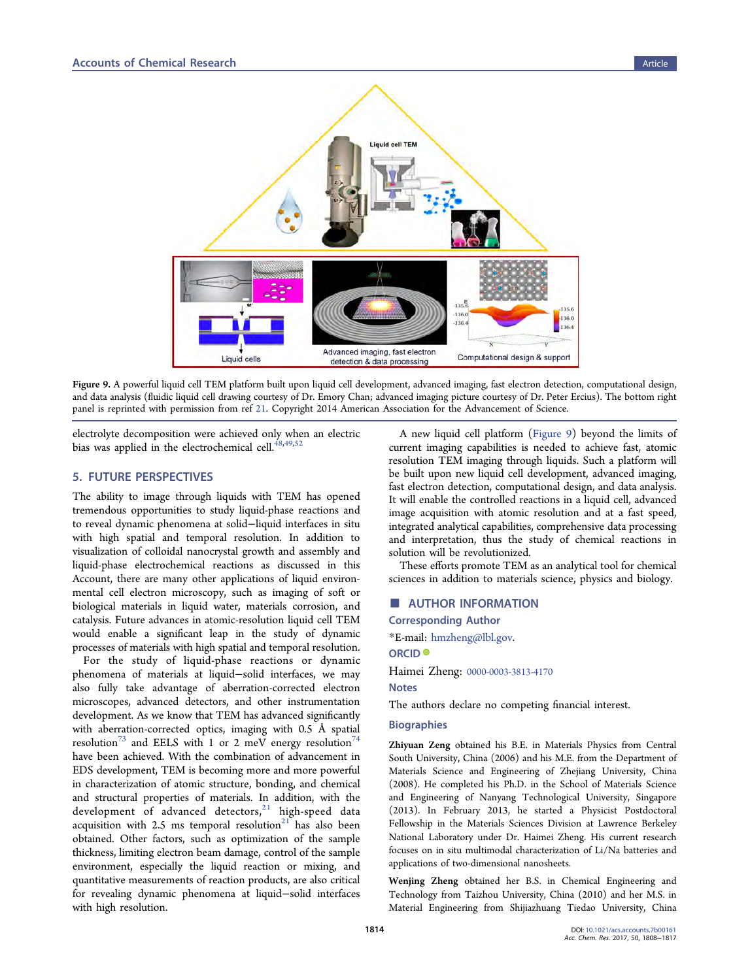<span id="page-6-0"></span>

Figure 9. A powerful liquid cell TEM platform built upon liquid cell development, advanced imaging, fast electron detection, computational design, and data analysis (fluidic liquid cell drawing courtesy of Dr. Emory Chan; advanced imaging picture courtesy of Dr. Peter Ercius). The bottom right panel is reprinted with permission from ref [21.](#page-7-0) Copyright 2014 American Association for the Advancement of Science.

electrolyte decomposition were achieved only when an electric bias was applied in the electrochemical cell. $48,49,52$  $48,49,52$  $48,49,52$ 

# 5. FUTURE PERSPECTIVES

The ability to image through liquids with TEM has opened tremendous opportunities to study liquid-phase reactions and to reveal dynamic phenomena at solid−liquid interfaces in situ with high spatial and temporal resolution. In addition to visualization of colloidal nanocrystal growth and assembly and liquid-phase electrochemical reactions as discussed in this Account, there are many other applications of liquid environmental cell electron microscopy, such as imaging of soft or biological materials in liquid water, materials corrosion, and catalysis. Future advances in atomic-resolution liquid cell TEM would enable a significant leap in the study of dynamic processes of materials with high spatial and temporal resolution.

For the study of liquid-phase reactions or dynamic phenomena of materials at liquid−solid interfaces, we may also fully take advantage of aberration-corrected electron microscopes, advanced detectors, and other instrumentation development. As we know that TEM has advanced significantly with aberration-corrected optics, imaging with 0.5 Å spatial resolution<sup>[73](#page-8-0)</sup> and EELS with 1 or 2 meV energy resolution<sup>[74](#page-9-0)</sup> have been achieved. With the combination of advancement in EDS development, TEM is becoming more and more powerful in characterization of atomic structure, bonding, and chemical and structural properties of materials. In addition, with the development of advanced detectors, $21$  high-speed data acquisition with 2.5 ms temporal resolution $21$  has also been obtained. Other factors, such as optimization of the sample thickness, limiting electron beam damage, control of the sample environment, especially the liquid reaction or mixing, and quantitative measurements of reaction products, are also critical for revealing dynamic phenomena at liquid−solid interfaces with high resolution.

A new liquid cell platform (Figure 9) beyond the limits of current imaging capabilities is needed to achieve fast, atomic resolution TEM imaging through liquids. Such a platform will be built upon new liquid cell development, advanced imaging, fast electron detection, computational design, and data analysis. It will enable the controlled reactions in a liquid cell, advanced image acquisition with atomic resolution and at a fast speed, integrated analytical capabilities, comprehensive data processing and interpretation, thus the study of chemical reactions in solution will be revolutionized.

These efforts promote TEM as an analytical tool for chemical sciences in addition to materials science, physics and biology.

#### ■ AUTHOR INFORMATION

Corresponding Author

\*E-mail: [hmzheng@lbl.gov.](mailto:hmzheng@lbl.gov) ORCID<sup>®</sup>

Haimei Zheng: [0000-0003-3813-4170](http://orcid.org/0000-0003-3813-4170) **Notes** 

The authors declare no competing financial interest.

# **Biographies**

Zhiyuan Zeng obtained his B.E. in Materials Physics from Central South University, China (2006) and his M.E. from the Department of Materials Science and Engineering of Zhejiang University, China (2008). He completed his Ph.D. in the School of Materials Science and Engineering of Nanyang Technological University, Singapore (2013). In February 2013, he started a Physicist Postdoctoral Fellowship in the Materials Sciences Division at Lawrence Berkeley National Laboratory under Dr. Haimei Zheng. His current research focuses on in situ multimodal characterization of Li/Na batteries and applications of two-dimensional nanosheets.

Wenjing Zheng obtained her B.S. in Chemical Engineering and Technology from Taizhou University, China (2010) and her M.S. in Material Engineering from Shijiazhuang Tiedao University, China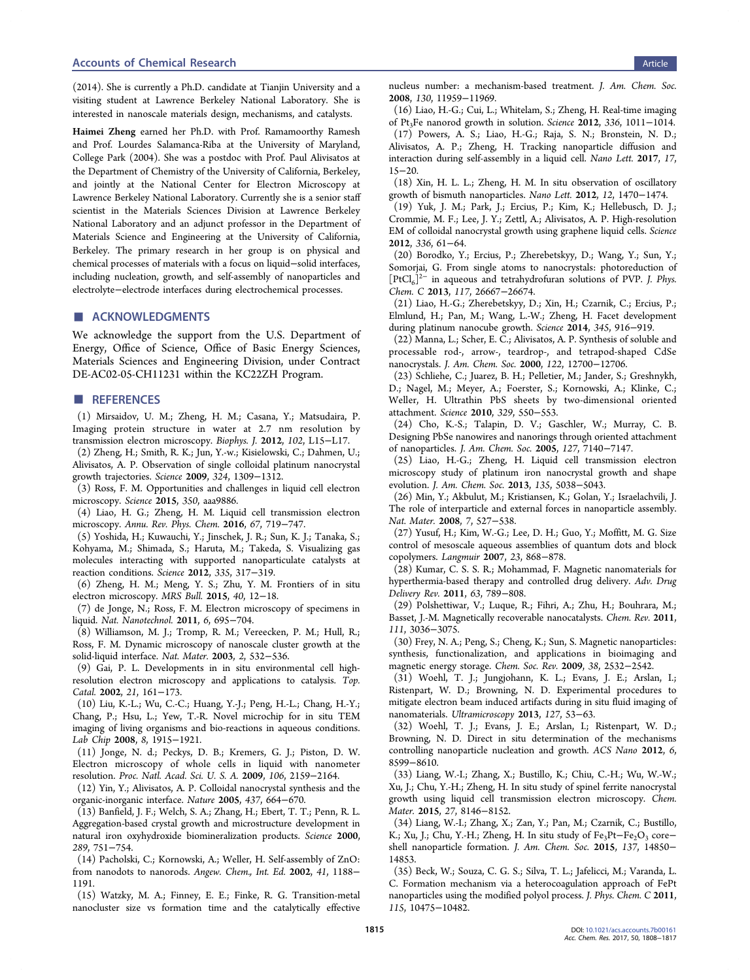<span id="page-7-0"></span>(2014). She is currently a Ph.D. candidate at Tianjin University and a visiting student at Lawrence Berkeley National Laboratory. She is interested in nanoscale materials design, mechanisms, and catalysts.

Haimei Zheng earned her Ph.D. with Prof. Ramamoorthy Ramesh and Prof. Lourdes Salamanca-Riba at the University of Maryland, College Park (2004). She was a postdoc with Prof. Paul Alivisatos at the Department of Chemistry of the University of California, Berkeley, and jointly at the National Center for Electron Microscopy at Lawrence Berkeley National Laboratory. Currently she is a senior staff scientist in the Materials Sciences Division at Lawrence Berkeley National Laboratory and an adjunct professor in the Department of Materials Science and Engineering at the University of California, Berkeley. The primary research in her group is on physical and chemical processes of materials with a focus on liquid−solid interfaces, including nucleation, growth, and self-assembly of nanoparticles and electrolyte−electrode interfaces during electrochemical processes.

### ■ ACKNOWLEDGMENTS

We acknowledge the support from the U.S. Department of Energy, Office of Science, Office of Basic Energy Sciences, Materials Sciences and Engineering Division, under Contract DE-AC02-05-CH11231 within the KC22ZH Program.

#### ■ REFERENCES

(1) Mirsaidov, U. M.; Zheng, H. M.; Casana, Y.; Matsudaira, P. Imaging protein structure in water at 2.7 nm resolution by transmission electron microscopy. Biophys. J. 2012, 102, L15−L17.

(2) Zheng, H.; Smith, R. K.; Jun, Y.-w.; Kisielowski, C.; Dahmen, U.; Alivisatos, A. P. Observation of single colloidal platinum nanocrystal growth trajectories. Science 2009, 324, 1309−1312.

(3) Ross, F. M. Opportunities and challenges in liquid cell electron microscopy. Science 2015, 350, aaa9886.

(4) Liao, H. G.; Zheng, H. M. Liquid cell transmission electron microscopy. Annu. Rev. Phys. Chem. 2016, 67, 719−747.

(5) Yoshida, H.; Kuwauchi, Y.; Jinschek, J. R.; Sun, K. J.; Tanaka, S.; Kohyama, M.; Shimada, S.; Haruta, M.; Takeda, S. Visualizing gas molecules interacting with supported nanoparticulate catalysts at reaction conditions. Science 2012, 335, 317−319.

(6) Zheng, H. M.; Meng, Y. S.; Zhu, Y. M. Frontiers of in situ electron microscopy. MRS Bull. 2015, 40, 12−18.

(7) de Jonge, N.; Ross, F. M. Electron microscopy of specimens in liquid. Nat. Nanotechnol. 2011, 6, 695−704.

(8) Williamson, M. J.; Tromp, R. M.; Vereecken, P. M.; Hull, R.; Ross, F. M. Dynamic microscopy of nanoscale cluster growth at the solid-liquid interface. Nat. Mater. 2003, 2, 532−536.

(9) Gai, P. L. Developments in in situ environmental cell highresolution electron microscopy and applications to catalysis. Top. Catal. 2002, 21, 161−173.

(10) Liu, K.-L.; Wu, C.-C.; Huang, Y.-J.; Peng, H.-L.; Chang, H.-Y.; Chang, P.; Hsu, L.; Yew, T.-R. Novel microchip for in situ TEM imaging of living organisms and bio-reactions in aqueous conditions. Lab Chip 2008, 8, 1915−1921.

(11) Jonge, N. d.; Peckys, D. B.; Kremers, G. J.; Piston, D. W. Electron microscopy of whole cells in liquid with nanometer resolution. Proc. Natl. Acad. Sci. U. S. A. 2009, 106, 2159−2164.

(12) Yin, Y.; Alivisatos, A. P. Colloidal nanocrystal synthesis and the organic-inorganic interface. Nature 2005, 437, 664−670.

(13) Banfield, J. F.; Welch, S. A.; Zhang, H.; Ebert, T. T.; Penn, R. L. Aggregation-based crystal growth and microstructure development in natural iron oxyhydroxide biomineralization products. Science 2000, 289, 751−754.

(14) Pacholski, C.; Kornowski, A.; Weller, H. Self-assembly of ZnO: from nanodots to nanorods. Angew. Chem., Int. Ed. 2002, 41, 1188-1191.

(15) Watzky, M. A.; Finney, E. E.; Finke, R. G. Transition-metal nanocluster size vs formation time and the catalytically effective

nucleus number: a mechanism-based treatment. J. Am. Chem. Soc. 2008, 130, 11959−11969.

(16) Liao, H.-G.; Cui, L.; Whitelam, S.; Zheng, H. Real-time imaging of Pt3Fe nanorod growth in solution. Science 2012, 336, 1011−1014.

(17) Powers, A. S.; Liao, H.-G.; Raja, S. N.; Bronstein, N. D.; Alivisatos, A. P.; Zheng, H. Tracking nanoparticle diffusion and interaction during self-assembly in a liquid cell. Nano Lett. 2017, 17, 15−20.

(18) Xin, H. L. L.; Zheng, H. M. In situ observation of oscillatory growth of bismuth nanoparticles. Nano Lett. 2012, 12, 1470−1474.

(19) Yuk, J. M.; Park, J.; Ercius, P.; Kim, K.; Hellebusch, D. J.; Crommie, M. F.; Lee, J. Y.; Zettl, A.; Alivisatos, A. P. High-resolution EM of colloidal nanocrystal growth using graphene liquid cells. Science 2012, 336, 61−64.

(20) Borodko, Y.; Ercius, P.; Zherebetskyy, D.; Wang, Y.; Sun, Y.; Somorjai, G. From single atoms to nanocrystals: photoreduction of  $[PtCl_6]^2$ <sup>-</sup> in aqueous and tetrahydrofuran solutions of PVP. J. Phys. Chem. C 2013, 117, 26667−26674.

(21) Liao, H.-G.; Zherebetskyy, D.; Xin, H.; Czarnik, C.; Ercius, P.; Elmlund, H.; Pan, M.; Wang, L.-W.; Zheng, H. Facet development during platinum nanocube growth. Science 2014, 345, 916−919.

(22) Manna, L.; Scher, E. C.; Alivisatos, A. P. Synthesis of soluble and processable rod-, arrow-, teardrop-, and tetrapod-shaped CdSe nanocrystals. J. Am. Chem. Soc. 2000, 122, 12700−12706.

(23) Schliehe, C.; Juarez, B. H.; Pelletier, M.; Jander, S.; Greshnykh, D.; Nagel, M.; Meyer, A.; Foerster, S.; Kornowski, A.; Klinke, C.; Weller, H. Ultrathin PbS sheets by two-dimensional oriented attachment. Science 2010, 329, 550−553.

(24) Cho, K.-S.; Talapin, D. V.; Gaschler, W.; Murray, C. B. Designing PbSe nanowires and nanorings through oriented attachment of nanoparticles. J. Am. Chem. Soc. 2005, 127, 7140−7147.

(25) Liao, H.-G.; Zheng, H. Liquid cell transmission electron microscopy study of platinum iron nanocrystal growth and shape evolution. J. Am. Chem. Soc. 2013, 135, 5038−5043.

(26) Min, Y.; Akbulut, M.; Kristiansen, K.; Golan, Y.; Israelachvili, J. The role of interparticle and external forces in nanoparticle assembly. Nat. Mater. 2008, 7, 527−538.

(27) Yusuf, H.; Kim, W.-G.; Lee, D. H.; Guo, Y.; Moffitt, M. G. Size control of mesoscale aqueous assemblies of quantum dots and block copolymers. Langmuir 2007, 23, 868−878.

(28) Kumar, C. S. S. R.; Mohammad, F. Magnetic nanomaterials for hyperthermia-based therapy and controlled drug delivery. Adv. Drug Delivery Rev. 2011, 63, 789−808.

(29) Polshettiwar, V.; Luque, R.; Fihri, A.; Zhu, H.; Bouhrara, M.; Basset, J.-M. Magnetically recoverable nanocatalysts. Chem. Rev. 2011, 111, 3036−3075.

(30) Frey, N. A.; Peng, S.; Cheng, K.; Sun, S. Magnetic nanoparticles: synthesis, functionalization, and applications in bioimaging and magnetic energy storage. Chem. Soc. Rev. 2009, 38, 2532−2542.

(31) Woehl, T. J.; Jungjohann, K. L.; Evans, J. E.; Arslan, I.; Ristenpart, W. D.; Browning, N. D. Experimental procedures to mitigate electron beam induced artifacts during in situ fluid imaging of nanomaterials. Ultramicroscopy 2013, 127, 53−63.

(32) Woehl, T. J.; Evans, J. E.; Arslan, I.; Ristenpart, W. D.; Browning, N. D. Direct in situ determination of the mechanisms controlling nanoparticle nucleation and growth. ACS Nano 2012, 6, 8599−8610.

(33) Liang, W.-I.; Zhang, X.; Bustillo, K.; Chiu, C.-H.; Wu, W.-W.; Xu, J.; Chu, Y.-H.; Zheng, H. In situ study of spinel ferrite nanocrystal growth using liquid cell transmission electron microscopy. Chem. Mater. 2015, 27, 8146−8152.

(34) Liang, W.-I.; Zhang, X.; Zan, Y.; Pan, M.; Czarnik, C.; Bustillo, K.; Xu, J.; Chu, Y.-H.; Zheng, H. In situ study of Fe<sub>3</sub>Pt−Fe<sub>2</sub>O<sub>3</sub> core− shell nanoparticle formation. J. Am. Chem. Soc. 2015, 137, 14850− 14853.

(35) Beck, W.; Souza, C. G. S.; Silva, T. L.; Jafelicci, M.; Varanda, L. C. Formation mechanism via a heterocoagulation approach of FePt nanoparticles using the modified polyol process. J. Phys. Chem. C 2011, 115, 10475−10482.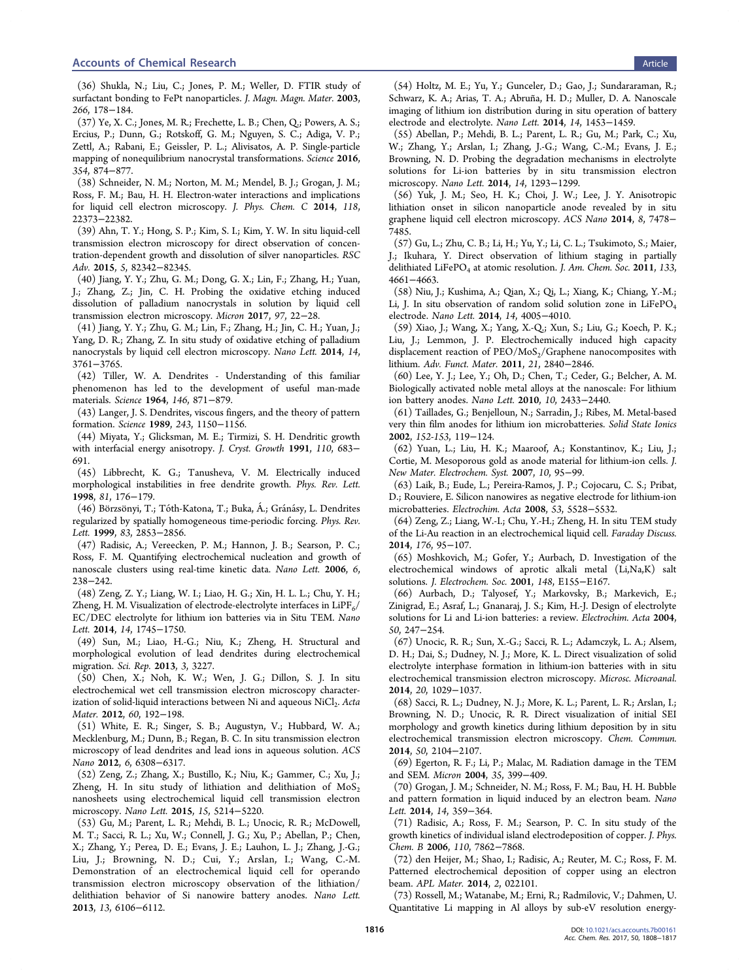<span id="page-8-0"></span>(36) Shukla, N.; Liu, C.; Jones, P. M.; Weller, D. FTIR study of surfactant bonding to FePt nanoparticles. J. Magn. Magn. Mater. 2003, 266, 178−184.

(37) Ye, X. C.; Jones, M. R.; Frechette, L. B.; Chen, Q.; Powers, A. S.; Ercius, P.; Dunn, G.; Rotskoff, G. M.; Nguyen, S. C.; Adiga, V. P.; Zettl, A.; Rabani, E.; Geissler, P. L.; Alivisatos, A. P. Single-particle mapping of nonequilibrium nanocrystal transformations. Science 2016, 354, 874−877.

(38) Schneider, N. M.; Norton, M. M.; Mendel, B. J.; Grogan, J. M.; Ross, F. M.; Bau, H. H. Electron-water interactions and implications for liquid cell electron microscopy. J. Phys. Chem. C 2014, 118, 22373−22382.

(39) Ahn, T. Y.; Hong, S. P.; Kim, S. I.; Kim, Y. W. In situ liquid-cell transmission electron microscopy for direct observation of concentration-dependent growth and dissolution of silver nanoparticles. RSC Adv. 2015, 5, 82342−82345.

(40) Jiang, Y. Y.; Zhu, G. M.; Dong, G. X.; Lin, F.; Zhang, H.; Yuan, J.; Zhang, Z.; Jin, C. H. Probing the oxidative etching induced dissolution of palladium nanocrystals in solution by liquid cell transmission electron microscopy. Micron 2017, 97, 22−28.

(41) Jiang, Y. Y.; Zhu, G. M.; Lin, F.; Zhang, H.; Jin, C. H.; Yuan, J.; Yang, D. R.; Zhang, Z. In situ study of oxidative etching of palladium nanocrystals by liquid cell electron microscopy. Nano Lett. 2014, 14, 3761−3765.

(42) Tiller, W. A. Dendrites - Understanding of this familiar phenomenon has led to the development of useful man-made materials. Science 1964, 146, 871−879.

(43) Langer, J. S. Dendrites, viscous fingers, and the theory of pattern formation. Science 1989, 243, 1150−1156.

(44) Miyata, Y.; Glicksman, M. E.; Tirmizi, S. H. Dendritic growth with interfacial energy anisotropy. J. Cryst. Growth 1991, 110, 683− 691.

(45) Libbrecht, K. G.; Tanusheva, V. M. Electrically induced morphological instabilities in free dendrite growth. Phys. Rev. Lett. 1998, 81, 176−179.

(46) Börzsönyi, T.; Tóth-Katona, T.; Buka, Á.; Gránásy, L. Dendrites regularized by spatially homogeneous time-periodic forcing. Phys. Rev. Lett. 1999, 83, 2853−2856.

(47) Radisic, A.; Vereecken, P. M.; Hannon, J. B.; Searson, P. C.; Ross, F. M. Quantifying electrochemical nucleation and growth of nanoscale clusters using real-time kinetic data. Nano Lett. 2006, 6, 238−242.

(48) Zeng, Z. Y.; Liang, W. I.; Liao, H. G.; Xin, H. L. L.; Chu, Y. H.; Zheng, H. M. Visualization of electrode-electrolyte interfaces in  $\mathrm{LiPF}_6/$ EC/DEC electrolyte for lithium ion batteries via in Situ TEM. Nano Lett. 2014, 14, 1745−1750.

(49) Sun, M.; Liao, H.-G.; Niu, K.; Zheng, H. Structural and morphological evolution of lead dendrites during electrochemical migration. Sci. Rep. 2013, 3, 3227.

(50) Chen, X.; Noh, K. W.; Wen, J. G.; Dillon, S. J. In situ electrochemical wet cell transmission electron microscopy characterization of solid-liquid interactions between Ni and aqueous NiCl<sub>2</sub>. Acta Mater. 2012, 60, 192−198.

(51) White, E. R.; Singer, S. B.; Augustyn, V.; Hubbard, W. A.; Mecklenburg, M.; Dunn, B.; Regan, B. C. In situ transmission electron microscopy of lead dendrites and lead ions in aqueous solution. ACS Nano 2012, 6, 6308−6317.

(52) Zeng, Z.; Zhang, X.; Bustillo, K.; Niu, K.; Gammer, C.; Xu, J.; Zheng, H. In situ study of lithiation and delithiation of  $MoS<sub>2</sub>$ nanosheets using electrochemical liquid cell transmission electron microscopy. Nano Lett. 2015, 15, 5214−5220.

(53) Gu, M.; Parent, L. R.; Mehdi, B. L.; Unocic, R. R.; McDowell, M. T.; Sacci, R. L.; Xu, W.; Connell, J. G.; Xu, P.; Abellan, P.; Chen, X.; Zhang, Y.; Perea, D. E.; Evans, J. E.; Lauhon, L. J.; Zhang, J.-G.; Liu, J.; Browning, N. D.; Cui, Y.; Arslan, I.; Wang, C.-M. Demonstration of an electrochemical liquid cell for operando transmission electron microscopy observation of the lithiation/ delithiation behavior of Si nanowire battery anodes. Nano Lett. 2013, 13, 6106−6112.

(54) Holtz, M. E.; Yu, Y.; Gunceler, D.; Gao, J.; Sundararaman, R.; Schwarz, K. A.; Arias, T. A.; Abruña, H. D.; Muller, D. A. Nanoscale imaging of lithium ion distribution during in situ operation of battery electrode and electrolyte. Nano Lett. 2014, 14, 1453−1459.

(55) Abellan, P.; Mehdi, B. L.; Parent, L. R.; Gu, M.; Park, C.; Xu, W.; Zhang, Y.; Arslan, I.; Zhang, J.-G.; Wang, C.-M.; Evans, J. E.; Browning, N. D. Probing the degradation mechanisms in electrolyte solutions for Li-ion batteries by in situ transmission electron microscopy. Nano Lett. 2014, 14, 1293−1299.

(56) Yuk, J. M.; Seo, H. K.; Choi, J. W.; Lee, J. Y. Anisotropic lithiation onset in silicon nanoparticle anode revealed by in situ graphene liquid cell electron microscopy. ACS Nano 2014, 8, 7478− 7485.

(57) Gu, L.; Zhu, C. B.; Li, H.; Yu, Y.; Li, C. L.; Tsukimoto, S.; Maier, J.; Ikuhara, Y. Direct observation of lithium staging in partially delithiated LiFePO<sub>4</sub> at atomic resolution. J. Am. Chem. Soc. 2011, 133, 4661−4663.

(58) Niu, J.; Kushima, A.; Qian, X.; Qi, L.; Xiang, K.; Chiang, Y.-M.; Li, J. In situ observation of random solid solution zone in  $LiFePO<sub>4</sub>$ electrode. Nano Lett. 2014, 14, 4005−4010.

(59) Xiao, J.; Wang, X.; Yang, X.-Q.; Xun, S.; Liu, G.; Koech, P. K.; Liu, J.; Lemmon, J. P. Electrochemically induced high capacity displacement reaction of  $PEO/MoS_2/G$ raphene nanocomposites with lithium. Adv. Funct. Mater. 2011, 21, 2840−2846.

(60) Lee, Y. J.; Lee, Y.; Oh, D.; Chen, T.; Ceder, G.; Belcher, A. M. Biologically activated noble metal alloys at the nanoscale: For lithium ion battery anodes. Nano Lett. 2010, 10, 2433−2440.

(61) Taillades, G.; Benjelloun, N.; Sarradin, J.; Ribes, M. Metal-based very thin film anodes for lithium ion microbatteries. Solid State Ionics 2002, 152-153, 119−124.

(62) Yuan, L.; Liu, H. K.; Maaroof, A.; Konstantinov, K.; Liu, J.; Cortie, M. Mesoporous gold as anode material for lithium-ion cells. J. New Mater. Electrochem. Syst. 2007, 10, 95−99.

(63) Laik, B.; Eude, L.; Pereira-Ramos, J. P.; Cojocaru, C. S.; Pribat, D.; Rouviere, E. Silicon nanowires as negative electrode for lithium-ion microbatteries. Electrochim. Acta 2008, 53, 5528−5532.

(64) Zeng, Z.; Liang, W.-I.; Chu, Y.-H.; Zheng, H. In situ TEM study of the Li-Au reaction in an electrochemical liquid cell. Faraday Discuss. 2014, 176, 95−107.

(65) Moshkovich, M.; Gofer, Y.; Aurbach, D. Investigation of the electrochemical windows of aprotic alkali metal (Li,Na,K) salt solutions. J. Electrochem. Soc. 2001, 148, E155−E167.

(66) Aurbach, D.; Talyosef, Y.; Markovsky, B.; Markevich, E.; Zinigrad, E.; Asraf, L.; Gnanaraj, J. S.; Kim, H.-J. Design of electrolyte solutions for Li and Li-ion batteries: a review. Electrochim. Acta 2004, 50, 247−254.

(67) Unocic, R. R.; Sun, X.-G.; Sacci, R. L.; Adamczyk, L. A.; Alsem, D. H.; Dai, S.; Dudney, N. J.; More, K. L. Direct visualization of solid electrolyte interphase formation in lithium-ion batteries with in situ electrochemical transmission electron microscopy. Microsc. Microanal. 2014, 20, 1029−1037.

(68) Sacci, R. L.; Dudney, N. J.; More, K. L.; Parent, L. R.; Arslan, I.; Browning, N. D.; Unocic, R. R. Direct visualization of initial SEI morphology and growth kinetics during lithium deposition by in situ electrochemical transmission electron microscopy. Chem. Commun. 2014, 50, 2104−2107.

(69) Egerton, R. F.; Li, P.; Malac, M. Radiation damage in the TEM and SEM. Micron 2004, 35, 399−409.

(70) Grogan, J. M.; Schneider, N. M.; Ross, F. M.; Bau, H. H. Bubble and pattern formation in liquid induced by an electron beam. Nano Lett. 2014, 14, 359−364.

(71) Radisic, A.; Ross, F. M.; Searson, P. C. In situ study of the growth kinetics of individual island electrodeposition of copper. J. Phys. Chem. B 2006, 110, 7862−7868.

(72) den Heijer, M.; Shao, I.; Radisic, A.; Reuter, M. C.; Ross, F. M. Patterned electrochemical deposition of copper using an electron beam. APL Mater. 2014, 2, 022101.

(73) Rossell, M.; Watanabe, M.; Erni, R.; Radmilovic, V.; Dahmen, U. Quantitative Li mapping in Al alloys by sub-eV resolution energy-